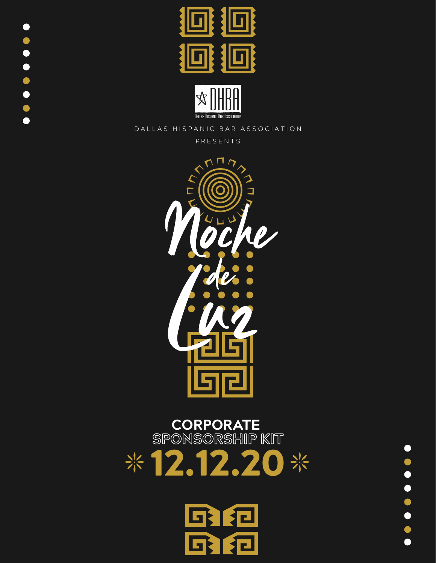





D A L L A S HIS PANIC BAR ASSOCIATION

P R E S E N T S



# **CORPORATE**<br>SPONSORSHIP KIT  $*12.12.20*$



 $\bullet$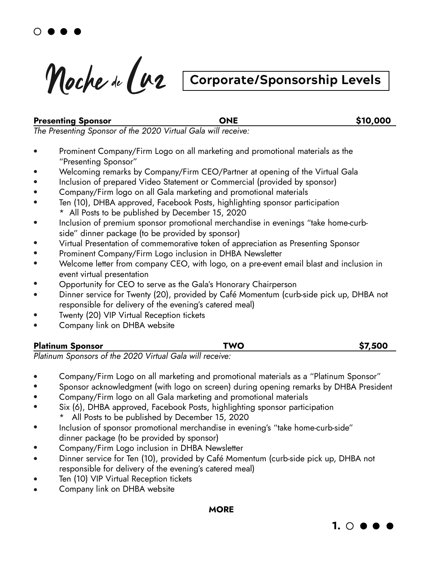Noche de Cuz

# **Corporate/Sponsorship Levels**

#### **Presenting Sponsor CONE CONE** \$10,000

*The Presenting Sponsor of the 2020 Virtual Gala will receive:*

- Prominent Company/Firm Logo on all marketing and promotional materials as the "Presenting Sponsor"
- Welcoming remarks by Company/Firm CEO/Partner at opening of the Virtual Gala
- Inclusion of prepared Video Statement or Commercial (provided by sponsor)
- Company/Firm logo on all Gala marketing and promotional materials
- Ten (10), DHBA approved, Facebook Posts, highlighting sponsor participation \* All Posts to be published by December 15, 2020
- Inclusion of premium sponsor promotional merchandise in evenings "take home-curb side" dinner package (to be provided by sponsor)
- Virtual Presentation of commemorative token of appreciation as Presenting Sponsor
- Prominent Company/Firm Logo inclusion in DHBA Newsletter
- Welcome letter from company CEO, with logo, on a pre-event email blast and inclusion in event virtual presentation
- Opportunity for CEO to serve as the Gala's Honorary Chairperson
- Dinner service for Twenty (20), provided by Café Momentum (curb-side pick up, DHBA not responsible for delivery of the evening's catered meal)
- Twenty (20) VIP Virtual Reception tickets
- Company link on DHBA website

| <b>Platinum Sponsor</b>                                  | TWO | \$7,500 |
|----------------------------------------------------------|-----|---------|
| Platinum Sponsors of the 2020 Virtual Gala will receive: |     |         |

*Platinum Sponsors of the 2020 Virtual Gala will receive:*

- Company/Firm Logo on all marketing and promotional materials as a "Platinum Sponsor"
- Sponsor acknowledgment (with logo on screen) during opening remarks by DHBA President
- Company/Firm logo on all Gala marketing and promotional materials
- Six (6), DHBA approved, Facebook Posts, highlighting sponsor participation
	- All Posts to be published by December 15, 2020
- Inclusion of sponsor promotional merchandise in evening's "take home-curb-side" dinner package (to be provided by sponsor)
- Company/Firm Logo inclusion in DHBA Newsletter
- Dinner service for Ten (10), provided by Café Momentum (curb-side pick up, DHBA not responsible for delivery of the evening's catered meal)
- Ten (10) VIP Virtual Reception tickets
- Company link on DHBA website

**MORE**

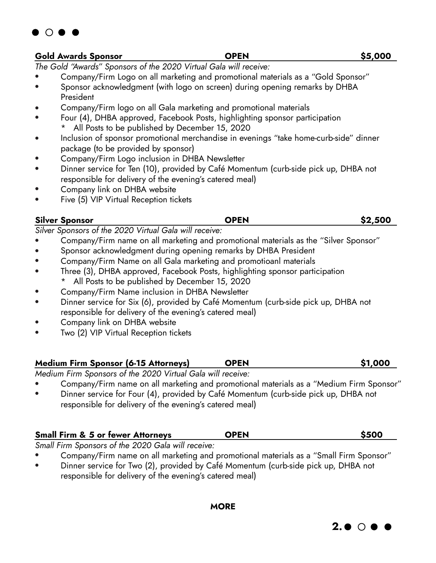

*The Gold "Awards" Sponsors of the 2020 Virtual Gala will receive:*

- Company/Firm Logo on all marketing and promotional materials as a "Gold Sponsor"
- Sponsor acknowledgment (with logo on screen) during opening remarks by DHBA President
- Company/Firm logo on all Gala marketing and promotional materials
- Four (4), DHBA approved, Facebook Posts, highlighting sponsor participation All Posts to be published by December 15, 2020
- Inclusion of sponsor promotional merchandise in evenings "take home-curb-side" dinner package (to be provided by sponsor)
- Company/Firm Logo inclusion in DHBA Newsletter
- Dinner service for Ten (10), provided by Café Momentum (curb-side pick up, DHBA not responsible for delivery of the evening's catered meal)
- Company link on DHBA website
- Five (5) VIP Virtual Reception tickets

#### **Silver Sponsor OPEN \$2,500**

 $\bigcirc$   $\bullet$ 

*Silver Sponsors of the 2020 Virtual Gala will receive:*

- Company/Firm name on all marketing and promotional materials as the "Silver Sponsor"
- Sponsor acknowledgment during opening remarks by DHBA President
- Company/Firm Name on all Gala marketing and promotioanl materials
- Three (3), DHBA approved, Facebook Posts, highlighting sponsor participation All Posts to be published by December 15, 2020
- Company/Firm Name inclusion in DHBA Newsletter
- Dinner service for Six (6), provided by Café Momentum (curb-side pick up, DHBA not responsible for delivery of the evening's catered meal)
- Company link on DHBA website
- Two (2) VIP Virtual Reception tickets

### **Medium Firm Sponsor (6-15 Attorneys) OPEN \$1,000**

*Medium Firm Sponsors of the 2020 Virtual Gala will receive:*

- Company/Firm name on all marketing and promotional materials as a "Medium Firm Sponsor"
- Dinner service for Four (4), provided by Café Momentum (curb-side pick up, DHBA not responsible for delivery of the evening's catered meal)

| <b>Small Firm &amp; 5 or fewer Attorneys</b> | <b>OPEN</b> | \$500 |
|----------------------------------------------|-------------|-------|
|                                              |             |       |

*Small Firm Sponsors of the 2020 Gala will receive:*

- Company/Firm name on all marketing and promotional materials as a "Small Firm Sponsor"
- Dinner service for Two (2), provided by Café Momentum (curb-side pick up, DHBA not responsible for delivery of the evening's catered meal)

**MORE**

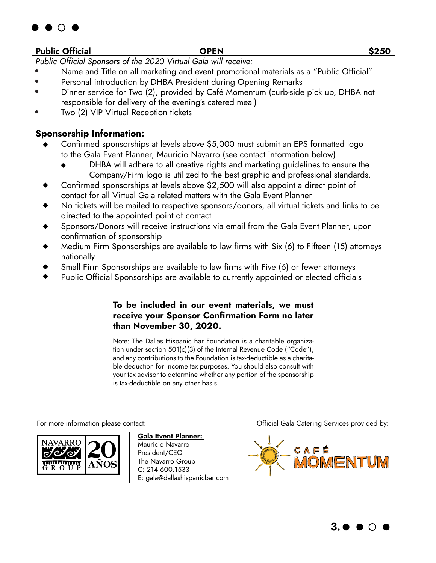

#### **Public Official OPEN \$250**

*Public Official Sponsors of the 2020 Virtual Gala will receive:*

- Name and Title on all marketing and event promotional materials as a "Public Official"
- Personal introduction by DHBA President during Opening Remarks
- Dinner service for Two (2), provided by Café Momentum (curb-side pick up, DHBA not responsible for delivery of the evening's catered meal)
- Two (2) VIP Virtual Reception tickets

#### **Sponsorship Information:**

- Confirmed sponsorships at levels above \$5,000 must submit an EPS formatted logo to the Gala Event Planner, Mauricio Navarro (see contact information below)
	- DHBA will adhere to all creative rights and marketing quidelines to ensure the Company/Firm logo is utilized to the best graphic and professional standards.
- Confirmed sponsorships at levels above \$2,500 will also appoint a direct point of contact for all Virtual Gala related matters with the Gala Event Planner
- No tickets will be mailed to respective sponsors/donors, all virtual tickets and links to be directed to the appointed point of contact
- Sponsors/Donors will receive instructions via email from the Gala Event Planner, upon confirmation of sponsorship
- Medium Firm Sponsorships are available to law firms with Six (6) to Fifteen (15) attorneys nationally
- Small Firm Sponsorships are available to law firms with Five (6) or fewer attorneys
- Public Official Sponsorships are available to currently appointed or elected officials

#### **To be included in our event materials, we must receive your Sponsor Confirmation Form no later than November 30, 2020.**

Note: The Dallas Hispanic Bar Foundation is a charitable organization under section 501(c)(3) of the Internal Revenue Code ("Code"), and any contributions to the Foundation is tax-deductible as a charitable deduction for income tax purposes. You should also consult with your tax advisor to determine whether any portion of the sponsorship is tax-deductible on any other basis.



**Gala Event Planner:**  Mauricio Navarro

President/CEO The Navarro Group C: 214.600.1533 E: gala@dallashispanicbar.com

For more information please contact: Official Gala Catering Services provided by:



**3.**